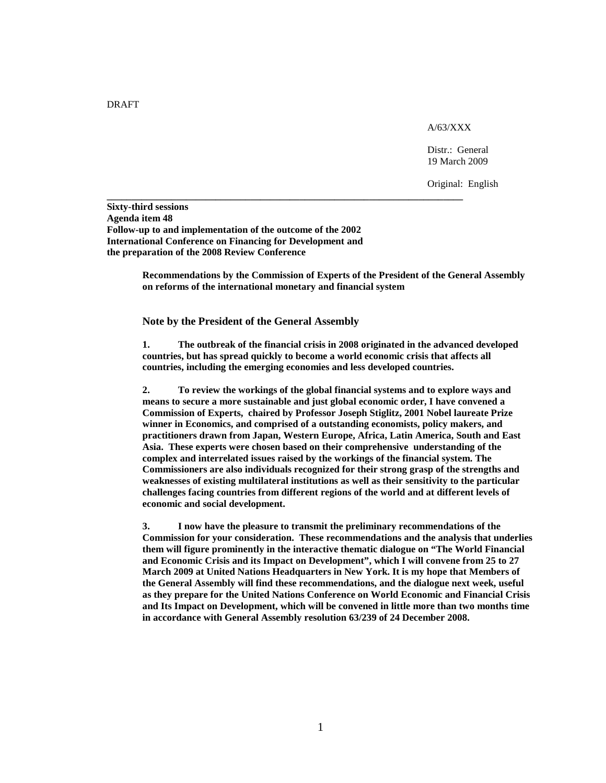DRAFT

A/63/XXX

Distr.: General 19 March 2009

Original: English

**Sixty-third sessions Agenda item 48 Follow-up to and implementation of the outcome of the 2002 International Conference on Financing for Development and the preparation of the 2008 Review Conference**

**\_\_\_\_\_\_\_\_\_\_\_\_\_\_\_\_\_\_\_\_\_\_\_\_\_\_\_\_\_\_\_\_\_\_\_\_\_\_\_\_\_\_\_\_\_\_\_\_\_\_\_\_\_\_\_\_\_\_\_\_\_\_\_\_\_\_\_\_\_\_\_\_**

**Recommendations by the Commission of Experts of the President of the General Assembly on reforms of the international monetary and financial system**

**Note by the President of the General Assembly**

**1. The outbreak of the financial crisis in 2008 originated in the advanced developed countries, but has spread quickly to become a world economic crisis that affects all countries, including the emerging economies and less developed countries.**

**2. To review the workings of the global financial systems and to explore ways and means to secure a more sustainable and just global economic order, I have convened a Commission of Experts, chaired by Professor Joseph Stiglitz, 2001 Nobel laureate Prize winner in Economics, and comprised of a outstanding economists, policy makers, and practitioners drawn from Japan, Western Europe, Africa, Latin America, South and East Asia. These experts were chosen based on their comprehensive understanding of the complex and interrelated issues raised by the workings of the financial system. The Commissioners are also individuals recognized for their strong grasp of the strengths and weaknesses of existing multilateral institutions as well as their sensitivity to the particular challenges facing countries from different regions of the world and at different levels of economic and social development.**

**3. I now have the pleasure to transmit the preliminary recommendations of the Commission for your consideration. These recommendations and the analysis that underlies them will figure prominently in the interactive thematic dialogue on "The World Financial and Economic Crisis and its Impact on Development", which I will convene from 25 to 27 March 2009 at United Nations Headquarters in New York. It is my hope that Members of the General Assembly will find these recommendations, and the dialogue next week, useful as they prepare for the United Nations Conference on World Economic and Financial Crisis and Its Impact on Development, which will be convened in little more than two months time in accordance with General Assembly resolution 63/239 of 24 December 2008.**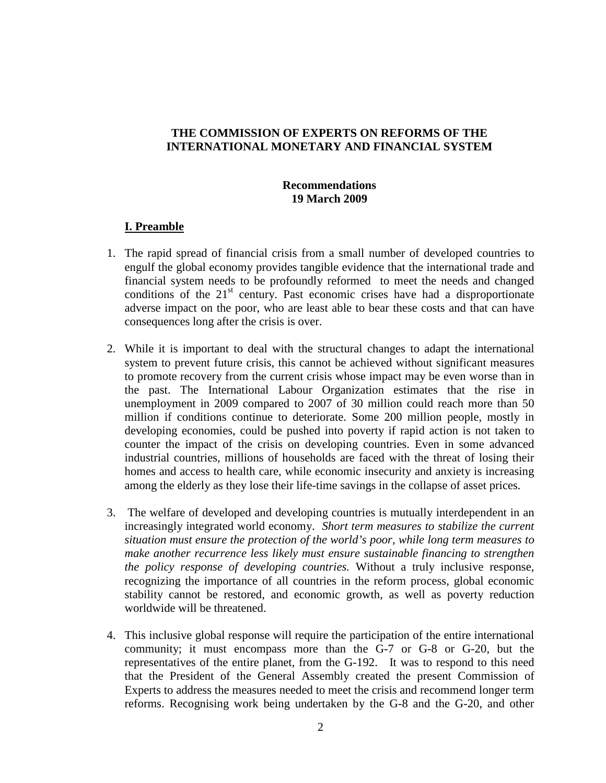## **THE COMMISSION OF EXPERTS ON REFORMS OF THE INTERNATIONAL MONETARY AND FINANCIAL SYSTEM**

### **Recommendations 19 March 2009**

## **I. Preamble**

- 1. The rapid spread of financial crisis from a small number of developed countries to engulf the global economy provides tangible evidence that the international trade and financial system needs to be profoundly reformed to meet the needs and changed conditions of the  $21<sup>st</sup>$  century. Past economic crises have had a disproportionate adverse impact on the poor, who are least able to bear these costs and that can have consequences long after the crisis is over.
- 2. While it is important to deal with the structural changes to adapt the international system to prevent future crisis, this cannot be achieved without significant measures to promote recovery from the current crisis whose impact may be even worse than in the past. The International Labour Organization estimates that the rise in unemployment in 2009 compared to 2007 of 30 million could reach more than 50 million if conditions continue to deteriorate. Some 200 million people, mostly in developing economies, could be pushed into poverty if rapid action is not taken to counter the impact of the crisis on developing countries. Even in some advanced industrial countries, millions of households are faced with the threat of losing their homes and access to health care, while economic insecurity and anxiety is increasing among the elderly as they lose their life-time savings in the collapse of asset prices.
- 3. The welfare of developed and developing countries is mutually interdependent in an increasingly integrated world economy. *Short term measures to stabilize the current situation must ensure the protection of the world's poor, while long term measures to make another recurrence less likely must ensure sustainable financing to strengthen the policy response of developing countries.* Without a truly inclusive response, recognizing the importance of all countries in the reform process, global economic stability cannot be restored, and economic growth, as well as poverty reduction worldwide will be threatened.
- 4. This inclusive global response will require the participation of the entire international community; it must encompass more than the G-7 or G-8 or G-20, but the representatives of the entire planet, from the G-192. It was to respond to this need that the President of the General Assembly created the present Commission of Experts to address the measures needed to meet the crisis and recommend longer term reforms. Recognising work being undertaken by the G-8 and the G-20, and other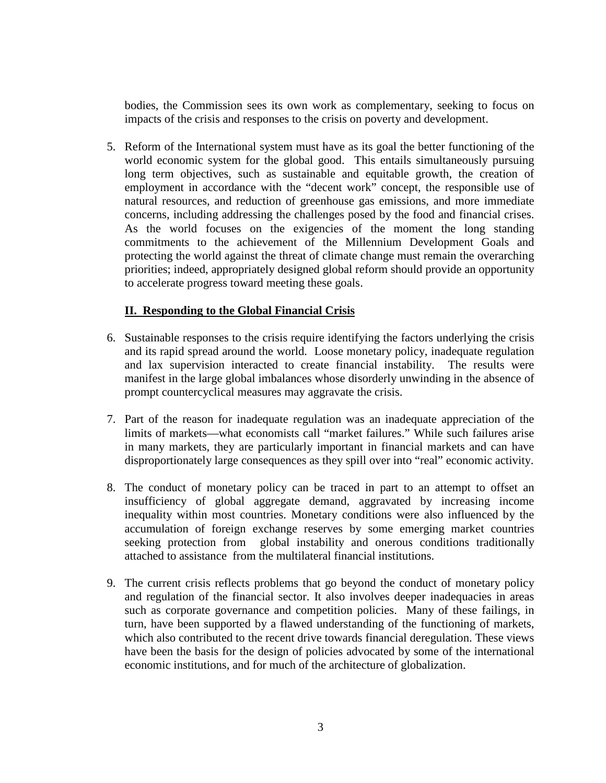bodies, the Commission sees its own work as complementary, seeking to focus on impacts of the crisis and responses to the crisis on poverty and development.

5. Reform of the International system must have as its goal the better functioning of the world economic system for the global good. This entails simultaneously pursuing long term objectives, such as sustainable and equitable growth, the creation of employment in accordance with the "decent work" concept, the responsible use of natural resources, and reduction of greenhouse gas emissions, and more immediate concerns, including addressing the challenges posed by the food and financial crises. As the world focuses on the exigencies of the moment the long standing commitments to the achievement of the Millennium Development Goals and protecting the world against the threat of climate change must remain the overarching priorities; indeed, appropriately designed global reform should provide an opportunity to accelerate progress toward meeting these goals.

# **II. Responding to the Global Financial Crisis**

- 6. Sustainable responses to the crisis require identifying the factors underlying the crisis and its rapid spread around the world. Loose monetary policy, inadequate regulation and lax supervision interacted to create financial instability. The results were manifest in the large global imbalances whose disorderly unwinding in the absence of prompt countercyclical measures may aggravate the crisis.
- 7. Part of the reason for inadequate regulation was an inadequate appreciation of the limits of markets—what economists call "market failures." While such failures arise in many markets, they are particularly important in financial markets and can have disproportionately large consequences as they spill over into "real" economic activity.
- 8. The conduct of monetary policy can be traced in part to an attempt to offset an insufficiency of global aggregate demand, aggravated by increasing income inequality within most countries. Monetary conditions were also influenced by the accumulation of foreign exchange reserves by some emerging market countries seeking protection from global instability and onerous conditions traditionally attached to assistance from the multilateral financial institutions.
- 9. The current crisis reflects problems that go beyond the conduct of monetary policy and regulation of the financial sector. It also involves deeper inadequacies in areas such as corporate governance and competition policies. Many of these failings, in turn, have been supported by a flawed understanding of the functioning of markets, which also contributed to the recent drive towards financial deregulation. These views have been the basis for the design of policies advocated by some of the international economic institutions, and for much of the architecture of globalization.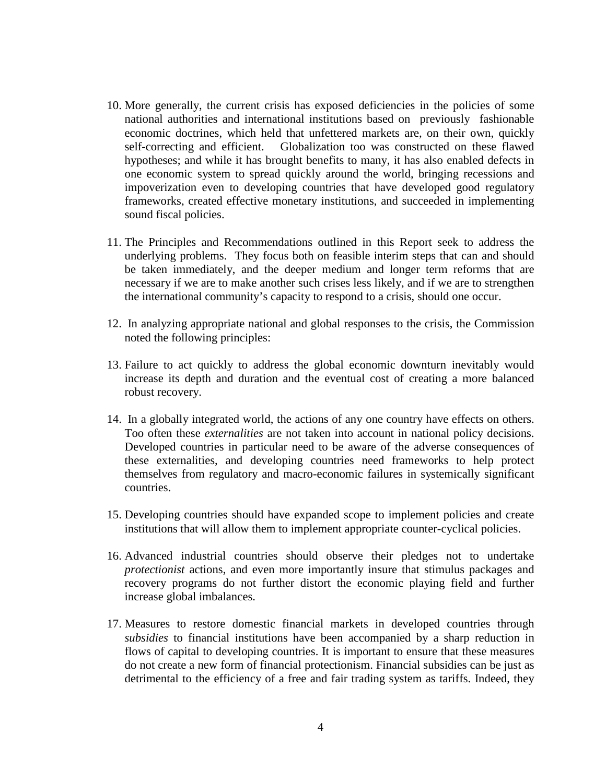- 10. More generally, the current crisis has exposed deficiencies in the policies of some national authorities and international institutions based on previously fashionable economic doctrines, which held that unfettered markets are, on their own, quickly self-correcting and efficient. Globalization too was constructed on these flawed hypotheses; and while it has brought benefits to many, it has also enabled defects in one economic system to spread quickly around the world, bringing recessions and impoverization even to developing countries that have developed good regulatory frameworks, created effective monetary institutions, and succeeded in implementing sound fiscal policies.
- 11. The Principles and Recommendations outlined in this Report seek to address the underlying problems. They focus both on feasible interim steps that can and should be taken immediately, and the deeper medium and longer term reforms that are necessary if we are to make another such crises less likely, and if we are to strengthen the international community's capacity to respond to a crisis, should one occur.
- 12. In analyzing appropriate national and global responses to the crisis, the Commission noted the following principles:
- 13. Failure to act quickly to address the global economic downturn inevitably would increase its depth and duration and the eventual cost of creating a more balanced robust recovery.
- 14. In a globally integrated world, the actions of any one country have effects on others. Too often these *externalities* are not taken into account in national policy decisions. Developed countries in particular need to be aware of the adverse consequences of these externalities, and developing countries need frameworks to help protect themselves from regulatory and macro-economic failures in systemically significant countries.
- 15. Developing countries should have expanded scope to implement policies and create institutions that will allow them to implement appropriate counter-cyclical policies.
- 16. Advanced industrial countries should observe their pledges not to undertake *protectionist* actions, and even more importantly insure that stimulus packages and recovery programs do not further distort the economic playing field and further increase global imbalances.
- 17. Measures to restore domestic financial markets in developed countries through *subsidies* to financial institutions have been accompanied by a sharp reduction in flows of capital to developing countries. It is important to ensure that these measures do not create a new form of financial protectionism. Financial subsidies can be just as detrimental to the efficiency of a free and fair trading system as tariffs. Indeed, they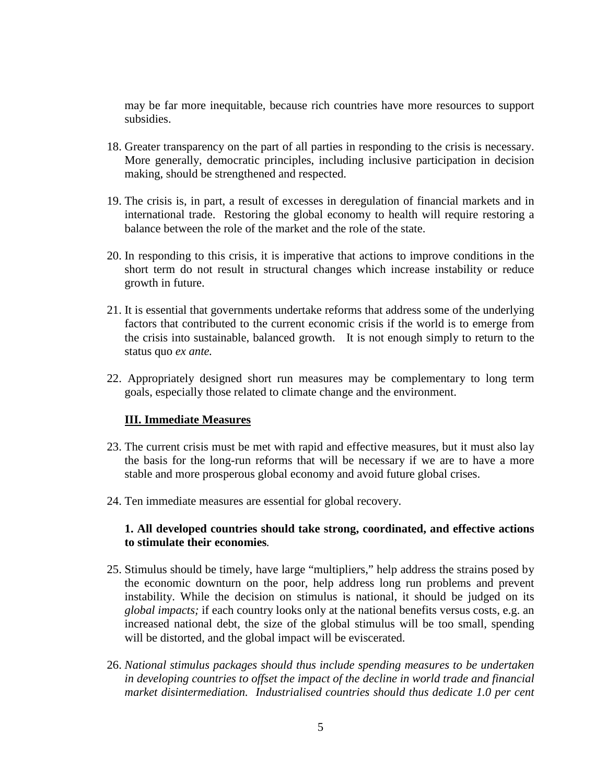may be far more inequitable, because rich countries have more resources to support subsidies.

- 18. Greater transparency on the part of all parties in responding to the crisis is necessary. More generally, democratic principles, including inclusive participation in decision making, should be strengthened and respected.
- 19. The crisis is, in part, a result of excesses in deregulation of financial markets and in international trade. Restoring the global economy to health will require restoring a balance between the role of the market and the role of the state.
- 20. In responding to this crisis, it is imperative that actions to improve conditions in the short term do not result in structural changes which increase instability or reduce growth in future.
- 21. It is essential that governments undertake reforms that address some of the underlying factors that contributed to the current economic crisis if the world is to emerge from the crisis into sustainable, balanced growth. It is not enough simply to return to the status quo *ex ante.*
- 22. Appropriately designed short run measures may be complementary to long term goals, especially those related to climate change and the environment.

#### **III. Immediate Measures**

- 23. The current crisis must be met with rapid and effective measures, but it must also lay the basis for the long-run reforms that will be necessary if we are to have a more stable and more prosperous global economy and avoid future global crises.
- 24. Ten immediate measures are essential for global recovery.

## **1. All developed countries should take strong, coordinated, and effective actions to stimulate their economies***.*

- 25. Stimulus should be timely, have large "multipliers," help address the strains posed by the economic downturn on the poor, help address long run problems and prevent instability. While the decision on stimulus is national, it should be judged on its *global impacts;* if each country looks only at the national benefits versus costs, e.g. an increased national debt, the size of the global stimulus will be too small, spending will be distorted, and the global impact will be eviscerated.
- 26. *National stimulus packages should thus include spending measures to be undertaken in developing countries to offset the impact of the decline in world trade and financial market disintermediation. Industrialised countries should thus dedicate 1.0 per cent*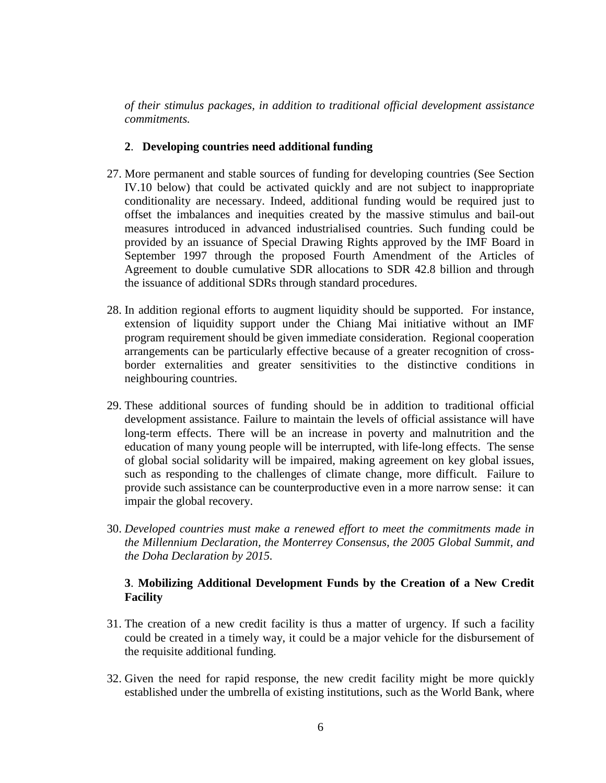*of their stimulus packages, in addition to traditional official development assistance commitments.*

## **2**. **Developing countries need additional funding**

- 27. More permanent and stable sources of funding for developing countries (See Section IV.10 below) that could be activated quickly and are not subject to inappropriate conditionality are necessary. Indeed, additional funding would be required just to offset the imbalances and inequities created by the massive stimulus and bail-out measures introduced in advanced industrialised countries. Such funding could be provided by an issuance of Special Drawing Rights approved by the IMF Board in September 1997 through the proposed Fourth Amendment of the Articles of Agreement to double cumulative SDR allocations to SDR 42.8 billion and through the issuance of additional SDRs through standard procedures.
- 28. In addition regional efforts to augment liquidity should be supported. For instance, extension of liquidity support under the Chiang Mai initiative without an IMF program requirement should be given immediate consideration. Regional cooperation arrangements can be particularly effective because of a greater recognition of crossborder externalities and greater sensitivities to the distinctive conditions in neighbouring countries.
- 29. These additional sources of funding should be in addition to traditional official development assistance. Failure to maintain the levels of official assistance will have long-term effects. There will be an increase in poverty and malnutrition and the education of many young people will be interrupted, with life-long effects. The sense of global social solidarity will be impaired, making agreement on key global issues, such as responding to the challenges of climate change, more difficult. Failure to provide such assistance can be counterproductive even in a more narrow sense: it can impair the global recovery.
- 30. *Developed countries must make a renewed effort to meet the commitments made in the Millennium Declaration, the Monterrey Consensus, the 2005 Global Summit, and the Doha Declaration by 2015.*

# **3**. **Mobilizing Additional Development Funds by the Creation of a New Credit Facility**

- 31. The creation of a new credit facility is thus a matter of urgency. If such a facility could be created in a timely way, it could be a major vehicle for the disbursement of the requisite additional funding.
- 32. Given the need for rapid response, the new credit facility might be more quickly established under the umbrella of existing institutions, such as the World Bank, where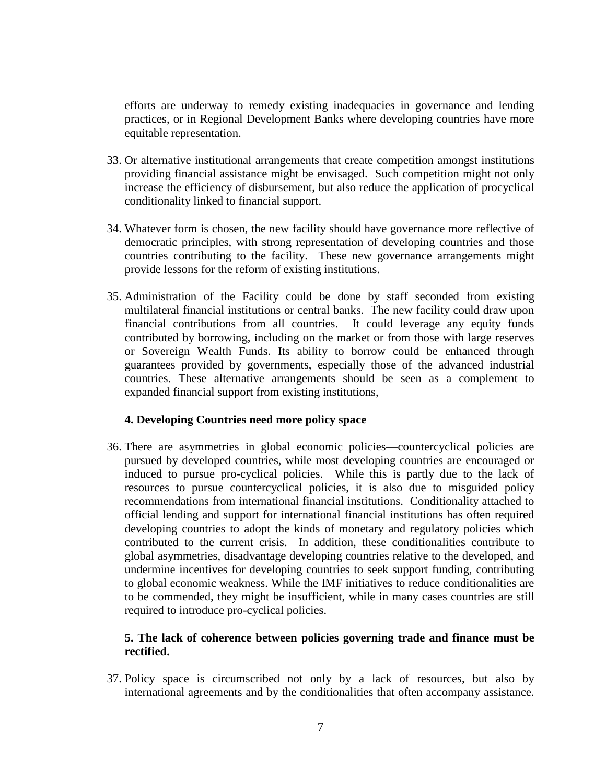efforts are underway to remedy existing inadequacies in governance and lending practices, or in Regional Development Banks where developing countries have more equitable representation.

- 33. Or alternative institutional arrangements that create competition amongst institutions providing financial assistance might be envisaged. Such competition might not only increase the efficiency of disbursement, but also reduce the application of procyclical conditionality linked to financial support.
- 34. Whatever form is chosen, the new facility should have governance more reflective of democratic principles, with strong representation of developing countries and those countries contributing to the facility. These new governance arrangements might provide lessons for the reform of existing institutions.
- 35. Administration of the Facility could be done by staff seconded from existing multilateral financial institutions or central banks. The new facility could draw upon financial contributions from all countries. It could leverage any equity funds contributed by borrowing, including on the market or from those with large reserves or Sovereign Wealth Funds. Its ability to borrow could be enhanced through guarantees provided by governments, especially those of the advanced industrial countries. These alternative arrangements should be seen as a complement to expanded financial support from existing institutions,

#### **4. Developing Countries need more policy space**

36. There are asymmetries in global economic policies—countercyclical policies are pursued by developed countries, while most developing countries are encouraged or induced to pursue pro-cyclical policies. While this is partly due to the lack of resources to pursue countercyclical policies, it is also due to misguided policy recommendations from international financial institutions. Conditionality attached to official lending and support for international financial institutions has often required developing countries to adopt the kinds of monetary and regulatory policies which contributed to the current crisis. In addition, these conditionalities contribute to global asymmetries, disadvantage developing countries relative to the developed, and undermine incentives for developing countries to seek support funding, contributing to global economic weakness. While the IMF initiatives to reduce conditionalities are to be commended, they might be insufficient, while in many cases countries are still required to introduce pro-cyclical policies.

## **5. The lack of coherence between policies governing trade and finance must be rectified.**

37. Policy space is circumscribed not only by a lack of resources, but also by international agreements and by the conditionalities that often accompany assistance.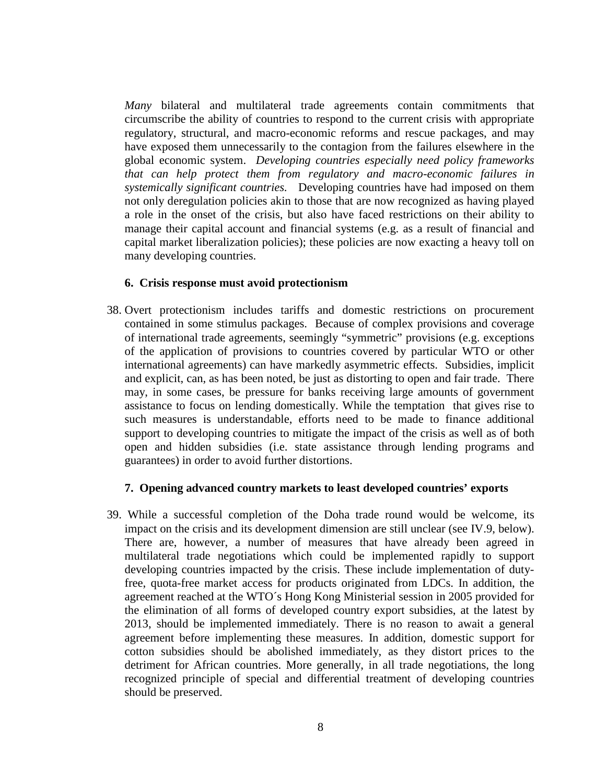*Many* bilateral and multilateral trade agreements contain commitments that circumscribe the ability of countries to respond to the current crisis with appropriate regulatory, structural, and macro-economic reforms and rescue packages, and may have exposed them unnecessarily to the contagion from the failures elsewhere in the global economic system. *Developing countries especially need policy frameworks that can help protect them from regulatory and macro-economic failures in systemically significant countries.* Developing countries have had imposed on them not only deregulation policies akin to those that are now recognized as having played a role in the onset of the crisis, but also have faced restrictions on their ability to manage their capital account and financial systems (e.g. as a result of financial and capital market liberalization policies); these policies are now exacting a heavy toll on many developing countries.

#### **6. Crisis response must avoid protectionism**

38. Overt protectionism includes tariffs and domestic restrictions on procurement contained in some stimulus packages. Because of complex provisions and coverage of international trade agreements, seemingly "symmetric" provisions (e.g. exceptions of the application of provisions to countries covered by particular WTO or other international agreements) can have markedly asymmetric effects. Subsidies, implicit and explicit, can, as has been noted, be just as distorting to open and fair trade. There may, in some cases, be pressure for banks receiving large amounts of government assistance to focus on lending domestically. While the temptation that gives rise to such measures is understandable, efforts need to be made to finance additional support to developing countries to mitigate the impact of the crisis as well as of both open and hidden subsidies (i.e. state assistance through lending programs and guarantees) in order to avoid further distortions.

#### **7. Opening advanced country markets to least developed countries' exports**

39. While a successful completion of the Doha trade round would be welcome, its impact on the crisis and its development dimension are still unclear (see IV.9, below). There are, however, a number of measures that have already been agreed in multilateral trade negotiations which could be implemented rapidly to support developing countries impacted by the crisis. These include implementation of dutyfree, quota-free market access for products originated from LDCs. In addition, the agreement reached at the WTO´s Hong Kong Ministerial session in 2005 provided for the elimination of all forms of developed country export subsidies, at the latest by 2013, should be implemented immediately. There is no reason to await a general agreement before implementing these measures. In addition, domestic support for cotton subsidies should be abolished immediately, as they distort prices to the detriment for African countries. More generally, in all trade negotiations, the long recognized principle of special and differential treatment of developing countries should be preserved.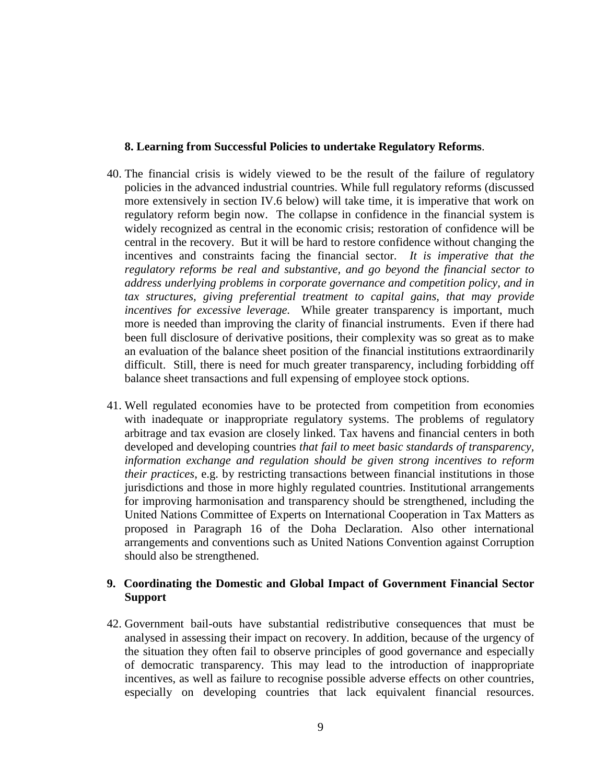### **8. Learning from Successful Policies to undertake Regulatory Reforms**.

- 40. The financial crisis is widely viewed to be the result of the failure of regulatory policies in the advanced industrial countries. While full regulatory reforms (discussed more extensively in section IV.6 below) will take time, it is imperative that work on regulatory reform begin now. The collapse in confidence in the financial system is widely recognized as central in the economic crisis; restoration of confidence will be central in the recovery. But it will be hard to restore confidence without changing the incentives and constraints facing the financial sector. *It is imperative that the regulatory reforms be real and substantive, and go beyond the financial sector to address underlying problems in corporate governance and competition policy, and in tax structures, giving preferential treatment to capital gains, that may provide incentives for excessive leverage.* While greater transparency is important, much more is needed than improving the clarity of financial instruments. Even if there had been full disclosure of derivative positions, their complexity was so great as to make an evaluation of the balance sheet position of the financial institutions extraordinarily difficult. Still, there is need for much greater transparency, including forbidding off balance sheet transactions and full expensing of employee stock options.
- 41. Well regulated economies have to be protected from competition from economies with inadequate or inappropriate regulatory systems. The problems of regulatory arbitrage and tax evasion are closely linked. Tax havens and financial centers in both developed and developing countries *that fail to meet basic standards of transparency, information exchange and regulation should be given strong incentives to reform their practices*, e.g. by restricting transactions between financial institutions in those jurisdictions and those in more highly regulated countries. Institutional arrangements for improving harmonisation and transparency should be strengthened, including the United Nations Committee of Experts on International Cooperation in Tax Matters as proposed in Paragraph 16 of the Doha Declaration. Also other international arrangements and conventions such as United Nations Convention against Corruption should also be strengthened.

## **9. Coordinating the Domestic and Global Impact of Government Financial Sector Support**

42. Government bail-outs have substantial redistributive consequences that must be analysed in assessing their impact on recovery. In addition, because of the urgency of the situation they often fail to observe principles of good governance and especially of democratic transparency. This may lead to the introduction of inappropriate incentives, as well as failure to recognise possible adverse effects on other countries, especially on developing countries that lack equivalent financial resources.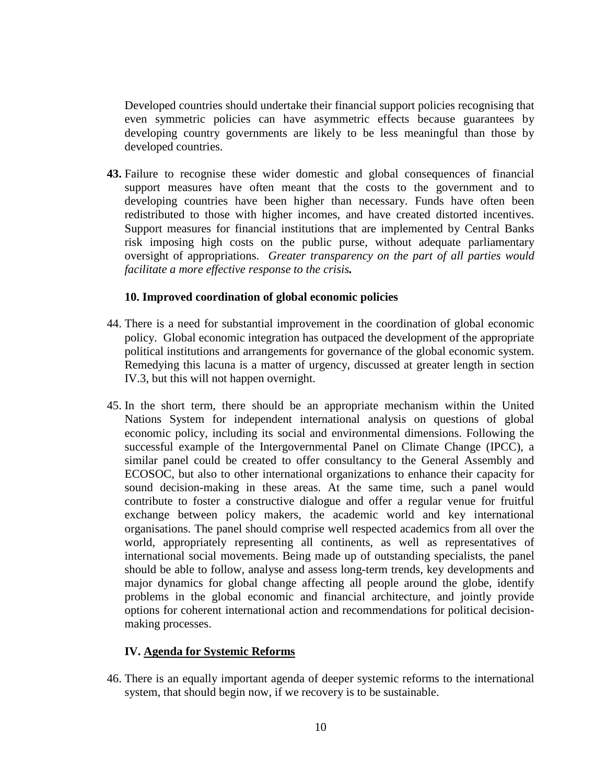Developed countries should undertake their financial support policies recognising that even symmetric policies can have asymmetric effects because guarantees by developing country governments are likely to be less meaningful than those by developed countries.

**43.** Failure to recognise these wider domestic and global consequences of financial support measures have often meant that the costs to the government and to developing countries have been higher than necessary. Funds have often been redistributed to those with higher incomes, and have created distorted incentives. Support measures for financial institutions that are implemented by Central Banks risk imposing high costs on the public purse, without adequate parliamentary oversight of appropriations. *Greater transparency on the part of all parties would facilitate a more effective response to the crisis.*

## **10. Improved coordination of global economic policies**

- 44. There is a need for substantial improvement in the coordination of global economic policy. Global economic integration has outpaced the development of the appropriate political institutions and arrangements for governance of the global economic system. Remedying this lacuna is a matter of urgency, discussed at greater length in section IV.3, but this will not happen overnight.
- 45. In the short term, there should be an appropriate mechanism within the United Nations System for independent international analysis on questions of global economic policy, including its social and environmental dimensions. Following the successful example of the Intergovernmental Panel on Climate Change (IPCC), a similar panel could be created to offer consultancy to the General Assembly and ECOSOC, but also to other international organizations to enhance their capacity for sound decision-making in these areas. At the same time, such a panel would contribute to foster a constructive dialogue and offer a regular venue for fruitful exchange between policy makers, the academic world and key international organisations. The panel should comprise well respected academics from all over the world, appropriately representing all continents, as well as representatives of international social movements. Being made up of outstanding specialists, the panel should be able to follow, analyse and assess long-term trends, key developments and major dynamics for global change affecting all people around the globe, identify problems in the global economic and financial architecture, and jointly provide options for coherent international action and recommendations for political decisionmaking processes.

## **IV. Agenda for Systemic Reforms**

46. There is an equally important agenda of deeper systemic reforms to the international system, that should begin now, if we recovery is to be sustainable.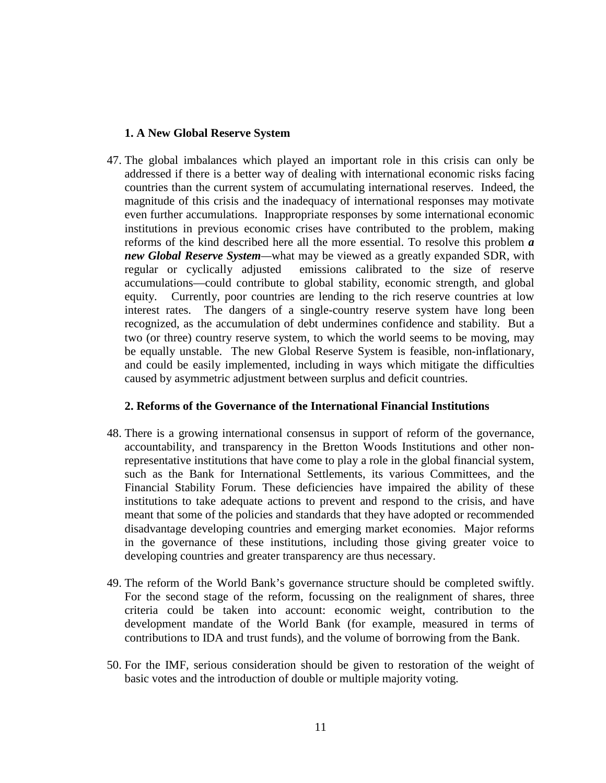### **1. A New Global Reserve System**

47. The global imbalances which played an important role in this crisis can only be addressed if there is a better way of dealing with international economic risks facing countries than the current system of accumulating international reserves. Indeed, the magnitude of this crisis and the inadequacy of international responses may motivate even further accumulations. Inappropriate responses by some international economic institutions in previous economic crises have contributed to the problem, making reforms of the kind described here all the more essential. To resolve this problem *a new Global Reserve System—*what may be viewed as a greatly expanded SDR, with regular or cyclically adjusted emissions calibrated to the size of reserve accumulations—could contribute to global stability, economic strength, and global equity. Currently, poor countries are lending to the rich reserve countries at low interest rates. The dangers of a single-country reserve system have long been recognized, as the accumulation of debt undermines confidence and stability. But a two (or three) country reserve system, to which the world seems to be moving, may be equally unstable. The new Global Reserve System is feasible, non-inflationary, and could be easily implemented, including in ways which mitigate the difficulties caused by asymmetric adjustment between surplus and deficit countries.

#### **2. Reforms of the Governance of the International Financial Institutions**

- 48. There is a growing international consensus in support of reform of the governance, accountability, and transparency in the Bretton Woods Institutions and other nonrepresentative institutions that have come to play a role in the global financial system, such as the Bank for International Settlements, its various Committees, and the Financial Stability Forum. These deficiencies have impaired the ability of these institutions to take adequate actions to prevent and respond to the crisis, and have meant that some of the policies and standards that they have adopted or recommended disadvantage developing countries and emerging market economies. Major reforms in the governance of these institutions, including those giving greater voice to developing countries and greater transparency are thus necessary.
- 49. The reform of the World Bank's governance structure should be completed swiftly. For the second stage of the reform, focussing on the realignment of shares, three criteria could be taken into account: economic weight, contribution to the development mandate of the World Bank (for example, measured in terms of contributions to IDA and trust funds), and the volume of borrowing from the Bank.
- 50. For the IMF, serious consideration should be given to restoration of the weight of basic votes and the introduction of double or multiple majority voting.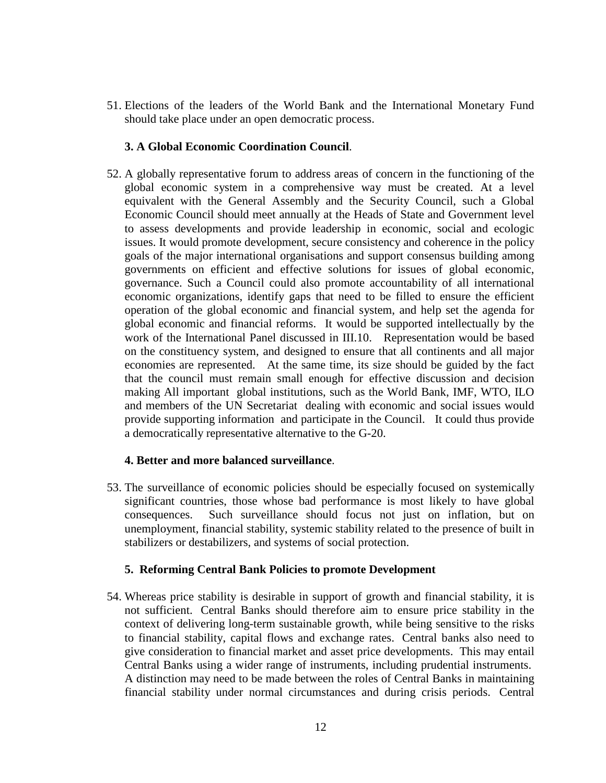51. Elections of the leaders of the World Bank and the International Monetary Fund should take place under an open democratic process.

### **3. A Global Economic Coordination Council**.

52. A globally representative forum to address areas of concern in the functioning of the global economic system in a comprehensive way must be created. At a level equivalent with the General Assembly and the Security Council, such a Global Economic Council should meet annually at the Heads of State and Government level to assess developments and provide leadership in economic, social and ecologic issues. It would promote development, secure consistency and coherence in the policy goals of the major international organisations and support consensus building among governments on efficient and effective solutions for issues of global economic, governance. Such a Council could also promote accountability of all international economic organizations, identify gaps that need to be filled to ensure the efficient operation of the global economic and financial system, and help set the agenda for global economic and financial reforms. It would be supported intellectually by the work of the International Panel discussed in III.10. Representation would be based on the constituency system, and designed to ensure that all continents and all major economies are represented. At the same time, its size should be guided by the fact that the council must remain small enough for effective discussion and decision making All important global institutions, such as the World Bank, IMF, WTO, ILO and members of the UN Secretariat dealing with economic and social issues would provide supporting information and participate in the Council. It could thus provide a democratically representative alternative to the G-20.

#### **4. Better and more balanced surveillance**.

53. The surveillance of economic policies should be especially focused on systemically significant countries, those whose bad performance is most likely to have global consequences. Such surveillance should focus not just on inflation, but on unemployment, financial stability, systemic stability related to the presence of built in stabilizers or destabilizers, and systems of social protection.

## **5. Reforming Central Bank Policies to promote Development**

54. Whereas price stability is desirable in support of growth and financial stability, it is not sufficient. Central Banks should therefore aim to ensure price stability in the context of delivering long-term sustainable growth, while being sensitive to the risks to financial stability, capital flows and exchange rates. Central banks also need to give consideration to financial market and asset price developments. This may entail Central Banks using a wider range of instruments, including prudential instruments. A distinction may need to be made between the roles of Central Banks in maintaining financial stability under normal circumstances and during crisis periods. Central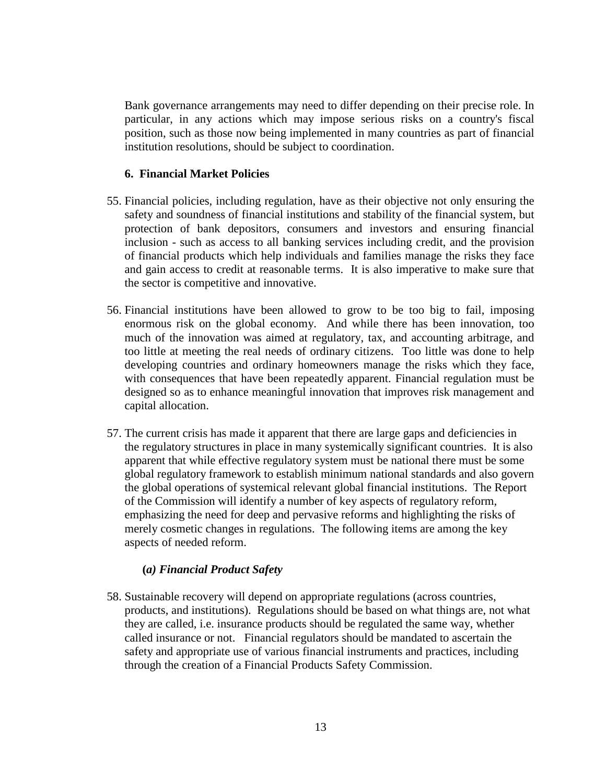Bank governance arrangements may need to differ depending on their precise role. In particular, in any actions which may impose serious risks on a country's fiscal position, such as those now being implemented in many countries as part of financial institution resolutions, should be subject to coordination.

#### **6. Financial Market Policies**

- 55. Financial policies, including regulation, have as their objective not only ensuring the safety and soundness of financial institutions and stability of the financial system, but protection of bank depositors, consumers and investors and ensuring financial inclusion - such as access to all banking services including credit, and the provision of financial products which help individuals and families manage the risks they face and gain access to credit at reasonable terms. It is also imperative to make sure that the sector is competitive and innovative.
- 56. Financial institutions have been allowed to grow to be too big to fail, imposing enormous risk on the global economy. And while there has been innovation, too much of the innovation was aimed at regulatory, tax, and accounting arbitrage, and too little at meeting the real needs of ordinary citizens. Too little was done to help developing countries and ordinary homeowners manage the risks which they face, with consequences that have been repeatedly apparent. Financial regulation must be designed so as to enhance meaningful innovation that improves risk management and capital allocation.
- 57. The current crisis has made it apparent that there are large gaps and deficiencies in the regulatory structures in place in many systemically significant countries. It is also apparent that while effective regulatory system must be national there must be some global regulatory framework to establish minimum national standards and also govern the global operations of systemical relevant global financial institutions. The Report of the Commission will identify a number of key aspects of regulatory reform, emphasizing the need for deep and pervasive reforms and highlighting the risks of merely cosmetic changes in regulations. The following items are among the key aspects of needed reform.

## **(***a) Financial Product Safety*

58. Sustainable recovery will depend on appropriate regulations (across countries, products, and institutions). Regulations should be based on what things are, not what they are called, i.e. insurance products should be regulated the same way, whether called insurance or not. Financial regulators should be mandated to ascertain the safety and appropriate use of various financial instruments and practices, including through the creation of a Financial Products Safety Commission.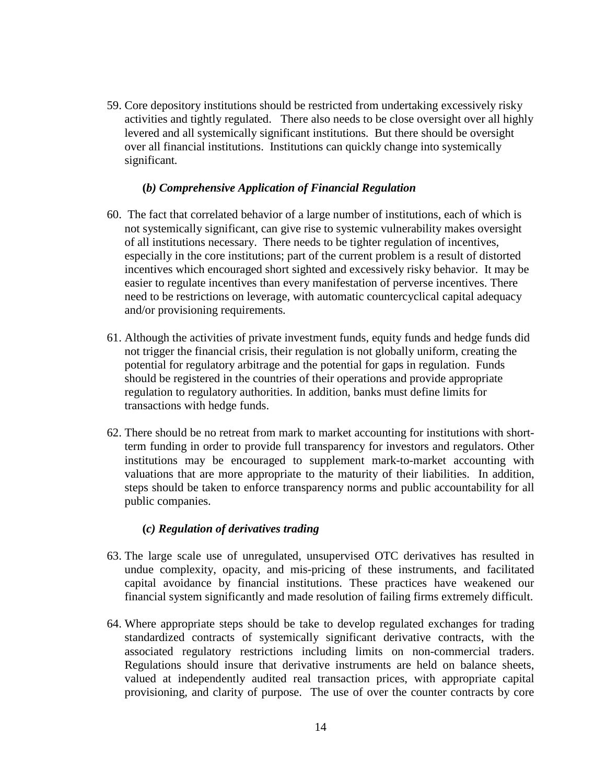59. Core depository institutions should be restricted from undertaking excessively risky activities and tightly regulated. There also needs to be close oversight over all highly levered and all systemically significant institutions. But there should be oversight over all financial institutions. Institutions can quickly change into systemically significant*.*

#### **(***b) Comprehensive Application of Financial Regulation*

- 60. The fact that correlated behavior of a large number of institutions, each of which is not systemically significant, can give rise to systemic vulnerability makes oversight of all institutions necessary. There needs to be tighter regulation of incentives, especially in the core institutions; part of the current problem is a result of distorted incentives which encouraged short sighted and excessively risky behavior. It may be easier to regulate incentives than every manifestation of perverse incentives. There need to be restrictions on leverage, with automatic countercyclical capital adequacy and/or provisioning requirements*.*
- 61. Although the activities of private investment funds, equity funds and hedge funds did not trigger the financial crisis, their regulation is not globally uniform, creating the potential for regulatory arbitrage and the potential for gaps in regulation. Funds should be registered in the countries of their operations and provide appropriate regulation to regulatory authorities. In addition, banks must define limits for transactions with hedge funds.
- 62. There should be no retreat from mark to market accounting for institutions with shortterm funding in order to provide full transparency for investors and regulators. Other institutions may be encouraged to supplement mark-to-market accounting with valuations that are more appropriate to the maturity of their liabilities. In addition, steps should be taken to enforce transparency norms and public accountability for all public companies.

#### **(***c) Regulation of derivatives trading*

- 63. The large scale use of unregulated, unsupervised OTC derivatives has resulted in undue complexity, opacity, and mis-pricing of these instruments, and facilitated capital avoidance by financial institutions. These practices have weakened our financial system significantly and made resolution of failing firms extremely difficult.
- 64. Where appropriate steps should be take to develop regulated exchanges for trading standardized contracts of systemically significant derivative contracts, with the associated regulatory restrictions including limits on non-commercial traders. Regulations should insure that derivative instruments are held on balance sheets, valued at independently audited real transaction prices, with appropriate capital provisioning, and clarity of purpose. The use of over the counter contracts by core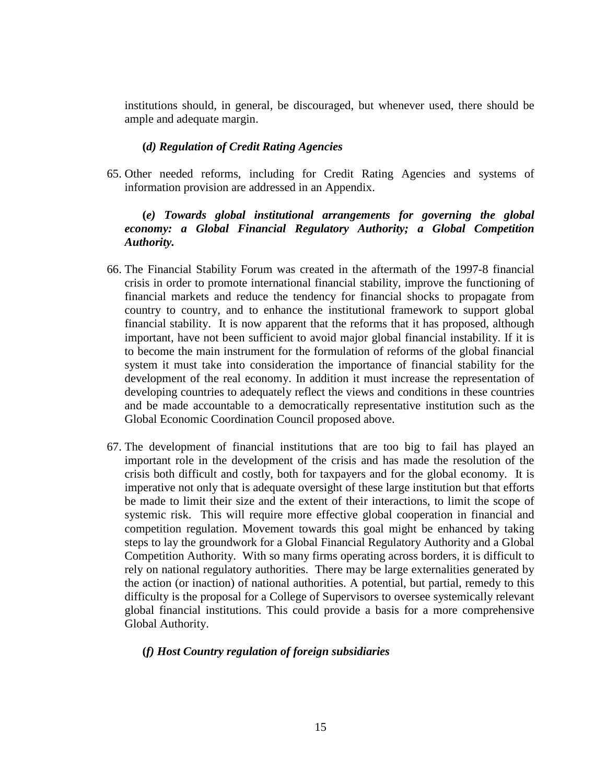institutions should, in general, be discouraged, but whenever used, there should be ample and adequate margin.

### **(***d) Regulation of Credit Rating Agencies*

65. Other needed reforms, including for Credit Rating Agencies and systems of information provision are addressed in an Appendix.

# **(***e) Towards global institutional arrangements for governing the global economy: a Global Financial Regulatory Authority; a Global Competition Authority.*

- 66. The Financial Stability Forum was created in the aftermath of the 1997-8 financial crisis in order to promote international financial stability, improve the functioning of financial markets and reduce the tendency for financial shocks to propagate from country to country, and to enhance the institutional framework to support global financial stability. It is now apparent that the reforms that it has proposed, although important, have not been sufficient to avoid major global financial instability. If it is to become the main instrument for the formulation of reforms of the global financial system it must take into consideration the importance of financial stability for the development of the real economy. In addition it must increase the representation of developing countries to adequately reflect the views and conditions in these countries and be made accountable to a democratically representative institution such as the Global Economic Coordination Council proposed above.
- 67. The development of financial institutions that are too big to fail has played an important role in the development of the crisis and has made the resolution of the crisis both difficult and costly, both for taxpayers and for the global economy. It is imperative not only that is adequate oversight of these large institution but that efforts be made to limit their size and the extent of their interactions, to limit the scope of systemic risk. This will require more effective global cooperation in financial and competition regulation. Movement towards this goal might be enhanced by taking steps to lay the groundwork for a Global Financial Regulatory Authority and a Global Competition Authority. With so many firms operating across borders, it is difficult to rely on national regulatory authorities. There may be large externalities generated by the action (or inaction) of national authorities. A potential, but partial, remedy to this difficulty is the proposal for a College of Supervisors to oversee systemically relevant global financial institutions. This could provide a basis for a more comprehensive Global Authority.

## **(***f) Host Country regulation of foreign subsidiaries*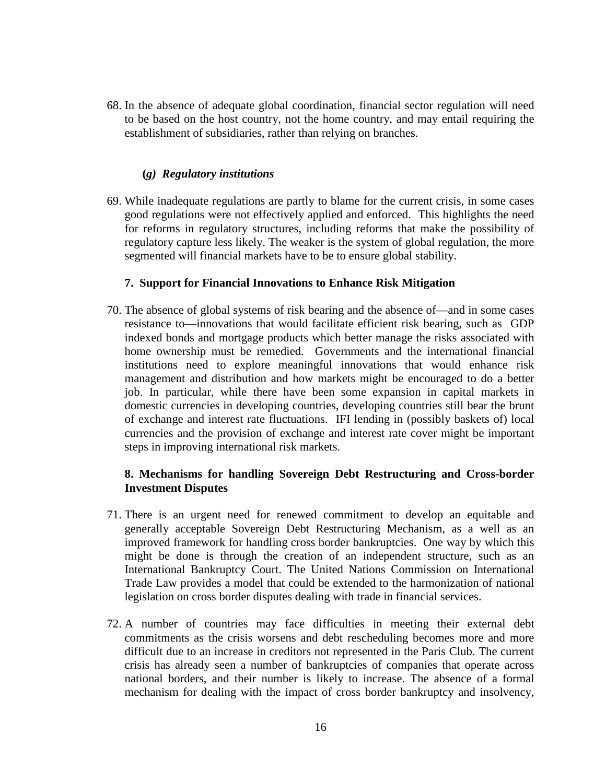68. In the absence of adequate global coordination, financial sector regulation will need to be based on the host country, not the home country, and may entail requiring the establishment of subsidiaries, rather than relying on branches.

### **(***g) Regulatory institutions*

69. While inadequate regulations are partly to blame for the current crisis, in some cases good regulations were not effectively applied and enforced. This highlights the need for reforms in regulatory structures, including reforms that make the possibility of regulatory capture less likely. The weaker is the system of global regulation, the more segmented will financial markets have to be to ensure global stability.

### **7. Support for Financial Innovations to Enhance Risk Mitigation**

70. The absence of global systems of risk bearing and the absence of—and in some cases resistance to—innovations that would facilitate efficient risk bearing, such as GDP indexed bonds and mortgage products which better manage the risks associated with home ownership must be remedied. Governments and the international financial institutions need to explore meaningful innovations that would enhance risk management and distribution and how markets might be encouraged to do a better job. In particular, while there have been some expansion in capital markets in domestic currencies in developing countries, developing countries still bear the brunt of exchange and interest rate fluctuations. IFI lending in (possibly baskets of) local currencies and the provision of exchange and interest rate cover might be important steps in improving international risk markets.

## **8. Mechanisms for handling Sovereign Debt Restructuring and Cross-border Investment Disputes**

- 71. There is an urgent need for renewed commitment to develop an equitable and generally acceptable Sovereign Debt Restructuring Mechanism, as a well as an improved framework for handling cross border bankruptcies. One way by which this might be done is through the creation of an independent structure, such as an International Bankruptcy Court. The United Nations Commission on International Trade Law provides a model that could be extended to the harmonization of national legislation on cross border disputes dealing with trade in financial services.
- 72. A number of countries may face difficulties in meeting their external debt commitments as the crisis worsens and debt rescheduling becomes more and more difficult due to an increase in creditors not represented in the Paris Club. The current crisis has already seen a number of bankruptcies of companies that operate across national borders, and their number is likely to increase. The absence of a formal mechanism for dealing with the impact of cross border bankruptcy and insolvency,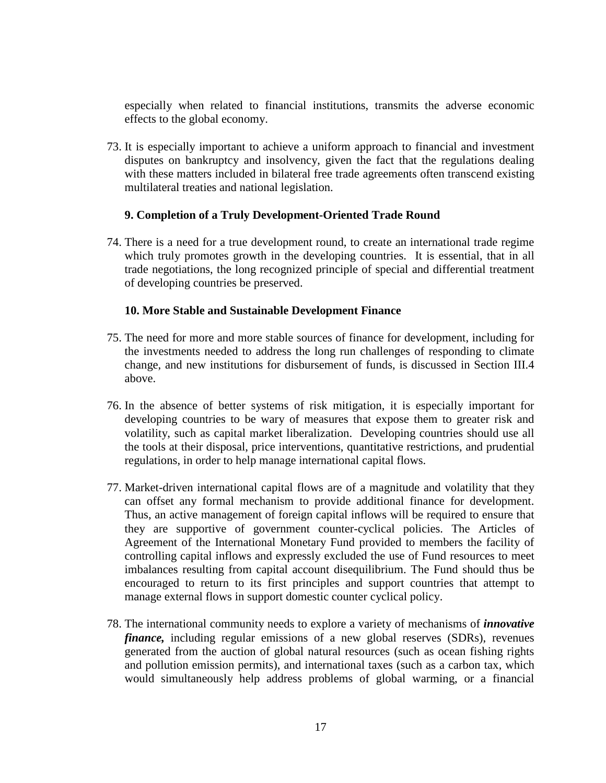especially when related to financial institutions, transmits the adverse economic effects to the global economy.

73. It is especially important to achieve a uniform approach to financial and investment disputes on bankruptcy and insolvency, given the fact that the regulations dealing with these matters included in bilateral free trade agreements often transcend existing multilateral treaties and national legislation.

## **9. Completion of a Truly Development-Oriented Trade Round**

74. There is a need for a true development round, to create an international trade regime which truly promotes growth in the developing countries. It is essential, that in all trade negotiations, the long recognized principle of special and differential treatment of developing countries be preserved.

## **10. More Stable and Sustainable Development Finance**

- 75. The need for more and more stable sources of finance for development, including for the investments needed to address the long run challenges of responding to climate change, and new institutions for disbursement of funds, is discussed in Section III.4 above.
- 76. In the absence of better systems of risk mitigation, it is especially important for developing countries to be wary of measures that expose them to greater risk and volatility, such as capital market liberalization. Developing countries should use all the tools at their disposal, price interventions, quantitative restrictions, and prudential regulations, in order to help manage international capital flows.
- 77. Market-driven international capital flows are of a magnitude and volatility that they can offset any formal mechanism to provide additional finance for development. Thus, an active management of foreign capital inflows will be required to ensure that they are supportive of government counter-cyclical policies. The Articles of Agreement of the International Monetary Fund provided to members the facility of controlling capital inflows and expressly excluded the use of Fund resources to meet imbalances resulting from capital account disequilibrium. The Fund should thus be encouraged to return to its first principles and support countries that attempt to manage external flows in support domestic counter cyclical policy.
- 78. The international community needs to explore a variety of mechanisms of *innovative finance*, including regular emissions of a new global reserves *(SDRs)*, revenues generated from the auction of global natural resources (such as ocean fishing rights and pollution emission permits), and international taxes (such as a carbon tax, which would simultaneously help address problems of global warming, or a financial